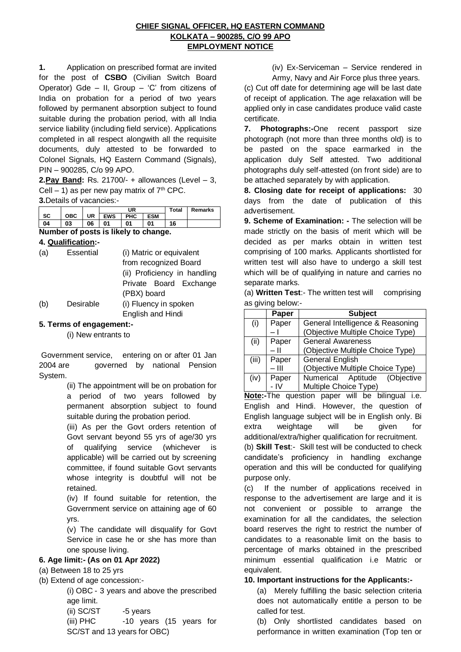#### **CHIEF SIGNAL OFFICER, HQ EASTERN COMMAND KOLKATA – 900285, C/O 99 APO EMPLOYMENT NOTICE**

**1.** Application on prescribed format are invited for the post of **CSBO** (Civilian Switch Board Operator) Gde – II, Group – 'C' from citizens of India on probation for a period of two years followed by permanent absorption subject to found suitable during the probation period, with all India service liability (including field service). Applications completed in all respect alongwith all the requisite documents, duly attested to be forwarded to Colonel Signals, HQ Eastern Command (Signals), PIN – 900285, C/o 99 APO.

**2.Pay Band:** Rs. 21700/- + allowances (Level – 3, Cell – 1) as per new pay matrix of  $7<sup>th</sup>$  CPC.

**3.**Details of vacancies:-

|    |            |    | UR         |     |     | Total | <b>Remarks</b> |
|----|------------|----|------------|-----|-----|-------|----------------|
| SC | <b>OBC</b> | UR | <b>EWS</b> | PHC | ESM |       |                |
|    | 03         | 06 | 01         | 01  | 01  | 16    |                |

**Number of posts is likely to change.**

**4. Qualification:-**

| (a) | Essential | (i) Matric or equivalent     |  |  |  |
|-----|-----------|------------------------------|--|--|--|
|     |           | from recognized Board        |  |  |  |
|     |           | (ii) Proficiency in handling |  |  |  |
|     |           | Private Board Exchange       |  |  |  |
|     |           | (PBX) board                  |  |  |  |
| (b) | Desirable | (i) Fluency in spoken        |  |  |  |
|     |           |                              |  |  |  |

English and Hindi

# **5. Terms of engagement:-**

(i) New entrants to

Government service, entering on or after 01 Jan 2004 are governed by national Pension System.

> (ii) The appointment will be on probation for a period of two years followed by permanent absorption subject to found suitable during the probation period.

> (iii) As per the Govt orders retention of Govt servant beyond 55 yrs of age/30 yrs of qualifying service (whichever is applicable) will be carried out by screening committee, if found suitable Govt servants whose integrity is doubtful will not be retained.

(iv) If found suitable for retention, the Government service on attaining age of 60 yrs.

(v) The candidate will disqualify for Govt Service in case he or she has more than one spouse living.

# **6. Age limit:- (As on 01 Apr 2022)**

- (a) Between 18 to 25 yrs
- (b) Extend of age concession:-

(i) OBC - 3 years and above the prescribed age limit.

(ii) SC/ST -5 years

(iii) PHC -10 years (15 years for SC/ST and 13 years for OBC)

(iv) Ex-Serviceman – Service rendered in

Army, Navy and Air Force plus three years. (c) Cut off date for determining age will be last date of receipt of application. The age relaxation will be applied only in case candidates produce valid caste certificate.

**7. Photographs:-**One recent passport size photograph (not more than three months old) is to be pasted on the space earmarked in the application duly Self attested. Two additional photographs duly self-attested (on front side) are to be attached separately by with application.

**8. Closing date for receipt of applications:** 30 days from the date of publication of this advertisement.

**9. Scheme of Examination: -** The selection will be made strictly on the basis of merit which will be decided as per marks obtain in written test comprising of 100 marks. Applicants shortlisted for written test will also have to undergo a skill test which will be of qualifying in nature and carries no separate marks.

(a) **Written Test**:- The written test will comprising as giving below:-

|       | Paper         | <b>Subject</b>                   |  |  |  |  |
|-------|---------------|----------------------------------|--|--|--|--|
| (i)   | Paper         | General Intelligence & Reasoning |  |  |  |  |
|       |               | (Objective Multiple Choice Type) |  |  |  |  |
| (ii)  | Paper         | <b>General Awareness</b>         |  |  |  |  |
|       | - 11          | (Objective Multiple Choice Type) |  |  |  |  |
| (iii) | Paper         | General English                  |  |  |  |  |
|       | – IİI         | (Objective Multiple Choice Type) |  |  |  |  |
| (iv)  | Paper<br>- IV | Numerical Aptitude (Objective    |  |  |  |  |
|       |               | Multiple Choice Type)            |  |  |  |  |

**Note:-**The question paper will be bilingual i.e. English and Hindi. However, the question of English language subject will be in English only. Bi extra weightage will be given for additional/extra/higher qualification for recruitment.

(b) **Skill Test**:- Skill test will be conducted to check candidate's proficiency in handling exchange operation and this will be conducted for qualifying purpose only.

(c) If the number of applications received in response to the advertisement are large and it is not convenient or possible to arrange the examination for all the candidates, the selection board reserves the right to restrict the number of candidates to a reasonable limit on the basis to percentage of marks obtained in the prescribed minimum essential qualification i.e Matric or equivalent.

# **10. Important instructions for the Applicants:-**

(a) Merely fulfilling the basic selection criteria does not automatically entitle a person to be called for test.

(b) Only shortlisted candidates based on performance in written examination (Top ten or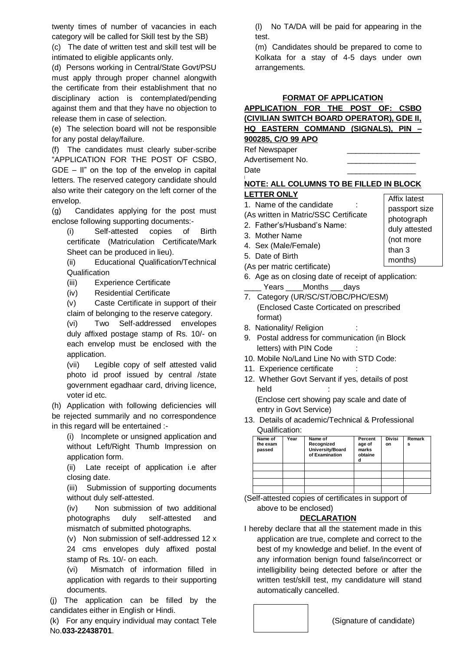twenty times of number of vacancies in each category will be called for Skill test by the SB)

(c) The date of written test and skill test will be intimated to eligible applicants only.

(d) Persons working in Central/State Govt/PSU must apply through proper channel alongwith the certificate from their establishment that no disciplinary action is contemplated/pending against them and that they have no objection to release them in case of selection.

(e) The selection board will not be responsible for any postal delay/failure.

(f) The candidates must clearly suber-scribe "APPLICATION FOR THE POST OF CSBO,  $GDE - II$ " on the top of the envelop in capital letters. The reserved category candidate should also write their category on the left corner of the envelop.

(g) Candidates applying for the post must enclose following supporting documents:-

(i) Self-attested copies of Birth certificate (Matriculation Certificate/Mark Sheet can be produced in lieu).

(ii) Educational Qualification/Technical **Qualification** 

(iii) Experience Certificate

(iv) Residential Certificate

(v) Caste Certificate in support of their claim of belonging to the reserve category.

(vi) Two Self-addressed envelopes duly affixed postage stamp of Rs. 10/- on each envelop must be enclosed with the application.

(vii) Legible copy of self attested valid photo id proof issued by central /state government egadhaar card, driving licence, voter id etc.

(h) Application with following deficiencies will be rejected summarily and no correspondence in this regard will be entertained :-

(i) Incomplete or unsigned application and without Left/Right Thumb Impression on application form.

(ii) Late receipt of application i.e after closing date.

(iii) Submission of supporting documents without duly self-attested.

(iv) Non submission of two additional photographs duly self-attested and mismatch of submitted photographs.

(v) Non submission of self-addressed 12 x 24 cms envelopes duly affixed postal stamp of Rs. 10/- on each.

(vi) Mismatch of information filled in application with regards to their supporting documents.

(j) The application can be filled by the candidates either in English or Hindi.

(k) For any enquiry individual may contact Tele No.**033-22438701**.

(l) No TA/DA will be paid for appearing in the test.

(m) Candidates should be prepared to come to Kolkata for a stay of 4-5 days under own arrangements.

#### **FORMAT OF APPLICATION**

# **APPLICATION FOR THE POST OF: CSBO (CIVILIAN SWITCH BOARD OPERATOR), GDE II, HQ EASTERN COMMAND (SIGNALS), PIN – 900285, C/O 99 APO**

Ref Newspaper Advertisement No. Date \_\_\_\_\_\_\_\_\_\_\_\_\_\_\_\_

[

#### **NOTE: ALL COLUMNS TO BE FILLED IN BLOCK LETTER ONLY**

#### 1. Name of the candidate

- (As written in Matric/SSC Certificate
- 2. Father's/Husband's Name:
- 3. Mother Name
- 4. Sex (Male/Female)
- 5. Date of Birth
- (As per matric certificate)
- 6. Age as on closing date of receipt of application: Years Months days
- 7. Category (UR/SC/ST/OBC/PHC/ESM) (Enclosed Caste Corticated on prescribed format)
- 8. Nationality/ Religion
- 9. Postal address for communication (in Block letters) with PIN Code
- 10. Mobile No/Land Line No with STD Code:
- 11. Experience certificate
- 12. Whether Govt Servant if yes, details of post held

 (Enclose cert showing pay scale and date of entry in Govt Service)

13. Details of academic/Technical & Professional Qualification:

| Name of<br>the exam<br>passed | Year | Name of<br>Recognized<br>University/Board<br>of Examination | Percent<br>age of<br>marks<br>obtaine | <b>Divisi</b><br>on | Remark<br>s |
|-------------------------------|------|-------------------------------------------------------------|---------------------------------------|---------------------|-------------|
|                               |      |                                                             |                                       |                     |             |
|                               |      |                                                             |                                       |                     |             |
|                               |      |                                                             |                                       |                     |             |
|                               |      |                                                             |                                       |                     |             |

(Self-attested copies of certificates in support of above to be enclosed)

# **DECLARATION**

I hereby declare that all the statement made in this application are true, complete and correct to the best of my knowledge and belief. In the event of any information benign found false/incorrect or intelligibility being detected before or after the written test/skill test, my candidature will stand automatically cancelled.



Affix latest passport size photograph duly attested (not more than 3 months)